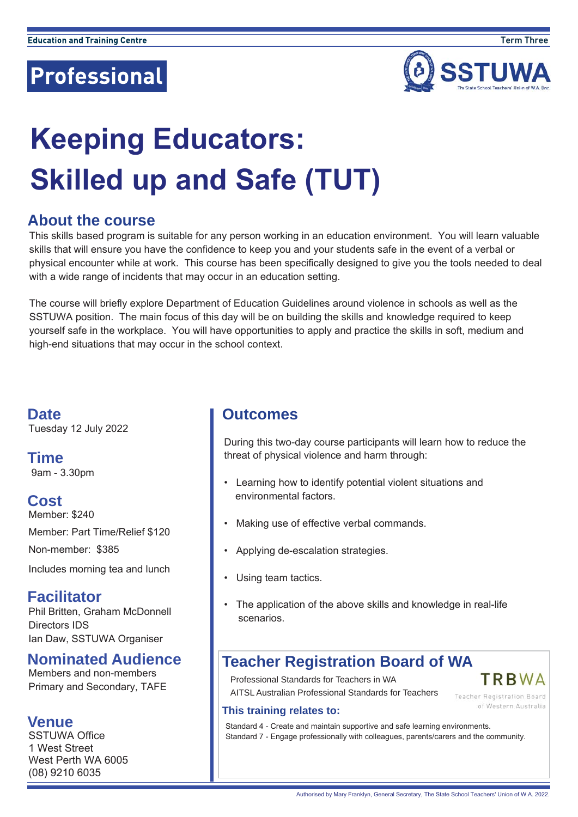

# **Keeping Educators: Skilled up and Safe (TUT)**

## **About the course**

This skills based program is suitable for any person working in an education environment. You will learn valuable skills that will ensure you have the confidence to keep you and your students safe in the event of a verbal or physical encounter while at work. This course has been specifically designed to give you the tools needed to deal with a wide range of incidents that may occur in an education setting.

The course will briefly explore Department of Education Guidelines around violence in schools as well as the SSTUWA position. The main focus of this day will be on building the skills and knowledge required to keep yourself safe in the workplace. You will have opportunities to apply and practice the skills in soft, medium and high-end situations that may occur in the school context.

**Date** Tuesday 12 July 2022

**Time**  9am - 3.30pm

### **Cost**

Member: \$240 Member: Part Time/Relief \$120 Non-member: \$385

Includes morning tea and lunch

### **Facilitator**

Phil Britten, Graham McDonnell Directors IDS Ian Daw, SSTUWA Organiser

### **Nominated Audience**

Members and non-members Primary and Secondary, TAFE

#### **Venue**

SSTUWA Office 1 West Street West Perth WA 6005 (08) 9210 6035

### **Outcomes**

During this two-day course participants will learn how to reduce the threat of physical violence and harm through:

- Learning how to identify potential violent situations and environmental factors.
- Making use of effective verbal commands.
- Applying de-escalation strategies.
- Using team tactics.
- The application of the above skills and knowledge in real-life scenarios.

# **Teacher Registration Board of WA**

Professional Standards for Teachers in WA

AITSL Australian Professional Standards for Teachers



of Western Australia

#### **This training relates to:**

Standard 4 - Create and maintain supportive and safe learning environments. Standard 7 - Engage professionally with colleagues, parents/carers and the community.

Authorised by Mary Franklyn, General Secretary, The State School Teachers' Union of W.A. 2022.